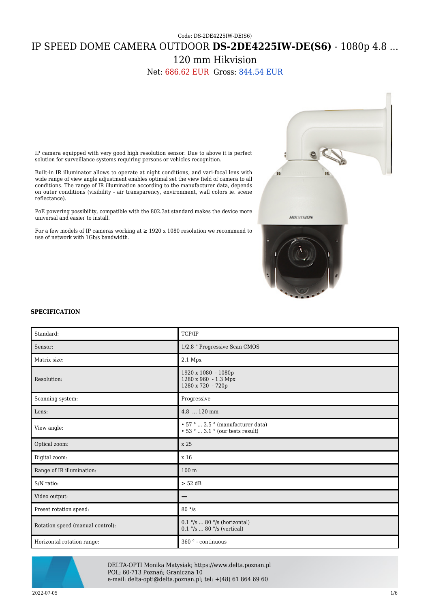Code: DS-2DE4225IW-DE(S6)

# IP SPEED DOME CAMERA OUTDOOR **DS-2DE4225IW-DE(S6)** - 1080p 4.8 ...

120 mm Hikvision

Net: 686.62 EUR Gross: 844.54 EUR



IP camera equipped with very good high resolution sensor. Due to above it is perfect solution for surveillance systems requiring persons or vehicles recognition.

Built-in IR illuminator allows to operate at night conditions, and vari-focal lens with wide range of view angle adjustment enables optimal set the view field of camera to all conditions. The range of IR illumination according to the manufacturer data, depends on outer conditions (visibility - air transparency, environment, wall colors ie. scene reflectance).

PoE powering possibility, compatible with the 802.3at standard makes the device more universal and easier to install.

For a few models of IP cameras working at  $\geq$  1920 x 1080 resolution we recommend to use of network with 1Gb/s bandwidth.

#### **SPECIFICATION**

| Standard:                        | TCP/IP                                                                     |
|----------------------------------|----------------------------------------------------------------------------|
| Sensor:                          | 1/2.8 " Progressive Scan CMOS                                              |
| Matrix size:                     | 2.1 Mpx                                                                    |
| Resolution:                      | 1920 x 1080 - 1080p<br>1280 x 960 - 1.3 Mpx<br>1280 x 720 - 720p           |
| Scanning system:                 | Progressive                                                                |
| Lens:                            | 4.8  120 mm                                                                |
| View angle:                      | • 57°  2.5 ° (manufacturer data)<br>$\cdot$ 53 °  3.1 ° (our tests result) |
| Optical zoom:                    | x 25                                                                       |
| Digital zoom:                    | x 16                                                                       |
| Range of IR illumination:        | 100 <sub>m</sub>                                                           |
| S/N ratio:                       | $> 52$ dB                                                                  |
| Video output:                    | -                                                                          |
| Preset rotation speed:           | $80 \degree$ /s                                                            |
| Rotation speed (manual control): | $0.1$ °/s  80 °/s (horizontal)<br>$0.1$ °/s  80 °/s (vertical)             |
| Horizontal rotation range:       | 360 ° - continuous                                                         |



DELTA-OPTI Monika Matysiak; https://www.delta.poznan.pl POL; 60-713 Poznań; Graniczna 10 e-mail: delta-opti@delta.poznan.pl; tel: +(48) 61 864 69 60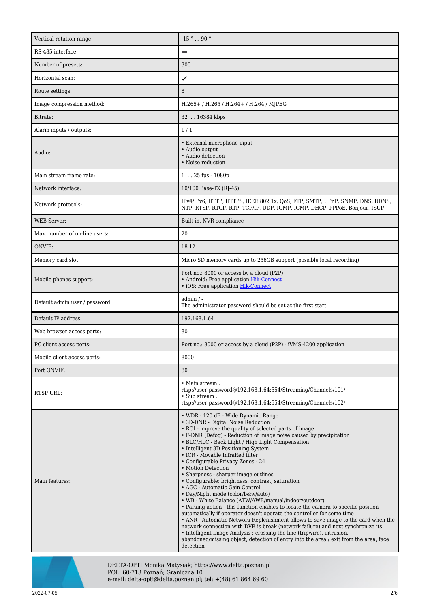| Vertical rotation range:       | $-15$ °  90 °                                                                                                                                                                                                                                                                                                                                                                                                                                                                                                                                                                                                                                                                                                                                                                                                                                                                                                                                                                                                                                                                                                                                         |
|--------------------------------|-------------------------------------------------------------------------------------------------------------------------------------------------------------------------------------------------------------------------------------------------------------------------------------------------------------------------------------------------------------------------------------------------------------------------------------------------------------------------------------------------------------------------------------------------------------------------------------------------------------------------------------------------------------------------------------------------------------------------------------------------------------------------------------------------------------------------------------------------------------------------------------------------------------------------------------------------------------------------------------------------------------------------------------------------------------------------------------------------------------------------------------------------------|
| RS-485 interface:              |                                                                                                                                                                                                                                                                                                                                                                                                                                                                                                                                                                                                                                                                                                                                                                                                                                                                                                                                                                                                                                                                                                                                                       |
| Number of presets:             | 300                                                                                                                                                                                                                                                                                                                                                                                                                                                                                                                                                                                                                                                                                                                                                                                                                                                                                                                                                                                                                                                                                                                                                   |
| Horizontal scan:               | ✓                                                                                                                                                                                                                                                                                                                                                                                                                                                                                                                                                                                                                                                                                                                                                                                                                                                                                                                                                                                                                                                                                                                                                     |
| Route settings:                | 8                                                                                                                                                                                                                                                                                                                                                                                                                                                                                                                                                                                                                                                                                                                                                                                                                                                                                                                                                                                                                                                                                                                                                     |
| Image compression method:      | $H.265+$ / H.265 / H.264 + / H.264 / MJPEG                                                                                                                                                                                                                                                                                                                                                                                                                                                                                                                                                                                                                                                                                                                                                                                                                                                                                                                                                                                                                                                                                                            |
| Bitrate:                       | 32  16384 kbps                                                                                                                                                                                                                                                                                                                                                                                                                                                                                                                                                                                                                                                                                                                                                                                                                                                                                                                                                                                                                                                                                                                                        |
| Alarm inputs / outputs:        | 1/1                                                                                                                                                                                                                                                                                                                                                                                                                                                                                                                                                                                                                                                                                                                                                                                                                                                                                                                                                                                                                                                                                                                                                   |
| Audio:                         | • External microphone input<br>· Audio output<br>· Audio detection<br>• Noise reduction                                                                                                                                                                                                                                                                                                                                                                                                                                                                                                                                                                                                                                                                                                                                                                                                                                                                                                                                                                                                                                                               |
| Main stream frame rate:        | $125$ fps - 1080p                                                                                                                                                                                                                                                                                                                                                                                                                                                                                                                                                                                                                                                                                                                                                                                                                                                                                                                                                                                                                                                                                                                                     |
| Network interface:             | 10/100 Base-TX (RJ-45)                                                                                                                                                                                                                                                                                                                                                                                                                                                                                                                                                                                                                                                                                                                                                                                                                                                                                                                                                                                                                                                                                                                                |
| Network protocols:             | IPv4/IPv6, HTTP, HTTPS, IEEE 802.1x, QoS, FTP, SMTP, UPnP, SNMP, DNS, DDNS,<br>NTP, RTSP, RTCP, RTP, TCP/IP, UDP, IGMP, ICMP, DHCP, PPPoE, Bonjour, ISUP                                                                                                                                                                                                                                                                                                                                                                                                                                                                                                                                                                                                                                                                                                                                                                                                                                                                                                                                                                                              |
| <b>WEB</b> Server:             | Built-in, NVR compliance                                                                                                                                                                                                                                                                                                                                                                                                                                                                                                                                                                                                                                                                                                                                                                                                                                                                                                                                                                                                                                                                                                                              |
| Max. number of on-line users:  | 20                                                                                                                                                                                                                                                                                                                                                                                                                                                                                                                                                                                                                                                                                                                                                                                                                                                                                                                                                                                                                                                                                                                                                    |
| ONVIF:                         | 18.12                                                                                                                                                                                                                                                                                                                                                                                                                                                                                                                                                                                                                                                                                                                                                                                                                                                                                                                                                                                                                                                                                                                                                 |
| Memory card slot:              | Micro SD memory cards up to 256GB support (possible local recording)                                                                                                                                                                                                                                                                                                                                                                                                                                                                                                                                                                                                                                                                                                                                                                                                                                                                                                                                                                                                                                                                                  |
| Mobile phones support:         | Port no.: 8000 or access by a cloud (P2P)<br>• Android: Free application Hik-Connect<br>• iOS: Free application Hik-Connect                                                                                                                                                                                                                                                                                                                                                                                                                                                                                                                                                                                                                                                                                                                                                                                                                                                                                                                                                                                                                           |
| Default admin user / password: | admin / -<br>The administrator password should be set at the first start                                                                                                                                                                                                                                                                                                                                                                                                                                                                                                                                                                                                                                                                                                                                                                                                                                                                                                                                                                                                                                                                              |
| Default IP address:            | 192.168.1.64                                                                                                                                                                                                                                                                                                                                                                                                                                                                                                                                                                                                                                                                                                                                                                                                                                                                                                                                                                                                                                                                                                                                          |
| Web browser access ports:      | 80                                                                                                                                                                                                                                                                                                                                                                                                                                                                                                                                                                                                                                                                                                                                                                                                                                                                                                                                                                                                                                                                                                                                                    |
| PC client access ports:        | Port no.: 8000 or access by a cloud (P2P) - iVMS-4200 application                                                                                                                                                                                                                                                                                                                                                                                                                                                                                                                                                                                                                                                                                                                                                                                                                                                                                                                                                                                                                                                                                     |
| Mobile client access ports:    | 8000                                                                                                                                                                                                                                                                                                                                                                                                                                                                                                                                                                                                                                                                                                                                                                                                                                                                                                                                                                                                                                                                                                                                                  |
| Port ONVIF:                    | 80                                                                                                                                                                                                                                                                                                                                                                                                                                                                                                                                                                                                                                                                                                                                                                                                                                                                                                                                                                                                                                                                                                                                                    |
| RTSP URL:                      | $\bullet$ Main stream :<br>rtsp://user.password@192.168.1.64.554/Streaming/Channels/101/<br>• Sub stream :<br>rtsp://user.password@192.168.1.64.554/Streaming/Channels/102/                                                                                                                                                                                                                                                                                                                                                                                                                                                                                                                                                                                                                                                                                                                                                                                                                                                                                                                                                                           |
| Main features:                 | • WDR - 120 dB - Wide Dynamic Range<br>• 3D-DNR - Digital Noise Reduction<br>• ROI - improve the quality of selected parts of image<br>• F-DNR (Defog) - Reduction of image noise caused by precipitation<br>• BLC/HLC - Back Light / High Light Compensation<br>• Intelligent 3D Positioning System<br>• ICR - Movable InfraRed filter<br>• Configurable Privacy Zones - 24<br>• Motion Detection<br>• Sharpness - sharper image outlines<br>• Configurable: brightness, contrast, saturation<br>• AGC - Automatic Gain Control<br>• Day/Night mode (color/b&w/auto)<br>• WB - White Balance (ATW/AWB/manual/indoor/outdoor)<br>• Parking action - this function enables to locate the camera to specific position<br>automatically if operator doesn't operate the controller for some time<br>• ANR - Automatic Network Replenishment allows to save image to the card when the<br>network connection with DVR is break (network failure) and next synchronize its<br>• Intelligent Image Analysis: crossing the line (tripwire), intrusion,<br>abandoned/missing object, detection of entry into the area / exit from the area, face<br>detection |



DELTA-OPTI Monika Matysiak; https://www.delta.poznan.pl POL; 60-713 Poznań; Graniczna 10 e-mail: delta-opti@delta.poznan.pl; tel: +(48) 61 864 69 60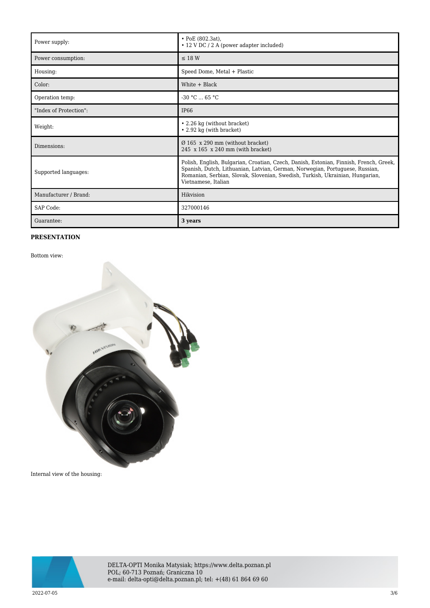| Power supply:          | • PoE (802.3at),<br>• 12 V DC / 2 A (power adapter included)                                                                                                                                                                                                                   |
|------------------------|--------------------------------------------------------------------------------------------------------------------------------------------------------------------------------------------------------------------------------------------------------------------------------|
| Power consumption:     | $\leq$ 18 W                                                                                                                                                                                                                                                                    |
| Housing:               | Speed Dome, Metal + Plastic                                                                                                                                                                                                                                                    |
| Color:                 | White + Black                                                                                                                                                                                                                                                                  |
| Operation temp:        | $-30 °C$ 65 °C                                                                                                                                                                                                                                                                 |
| "Index of Protection": | <b>IP66</b>                                                                                                                                                                                                                                                                    |
| Weight:                | • 2.26 kg (without bracket)<br>• 2.92 kg (with bracket)                                                                                                                                                                                                                        |
| Dimensions:            | $\varnothing$ 165 x 290 mm (without bracket)<br>245 $x 165$ $x 240$ mm (with bracket)                                                                                                                                                                                          |
| Supported languages:   | Polish, English, Bulgarian, Croatian, Czech, Danish, Estonian, Finnish, French, Greek,<br>Spanish, Dutch, Lithuanian, Latvian, German, Norwegian, Portuguese, Russian,<br>Romanian, Serbian, Slovak, Slovenian, Swedish, Turkish, Ukrainian, Hungarian,<br>Vietnamese, Italian |
| Manufacturer / Brand:  | Hikvision                                                                                                                                                                                                                                                                      |
| SAP Code:              | 327000146                                                                                                                                                                                                                                                                      |
| Guarantee:             | 3 years                                                                                                                                                                                                                                                                        |

### **PRESENTATION**

Bottom view:



Internal view of the housing:



DELTA-OPTI Monika Matysiak; https://www.delta.poznan.pl POL; 60-713 Poznań; Graniczna 10 e-mail: delta-opti@delta.poznan.pl; tel: +(48) 61 864 69 60

 $2022$ -07-05  $3/6$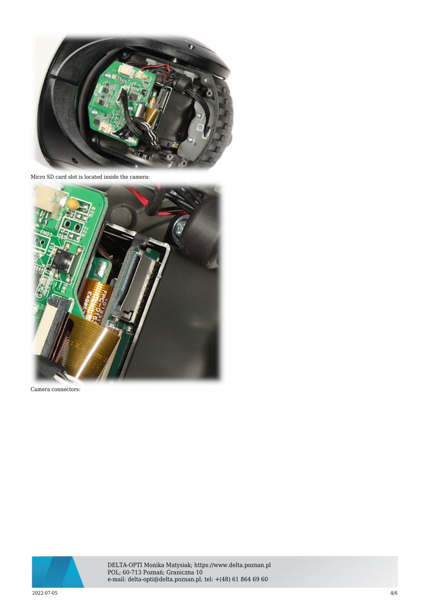

Micro SD card slot is located inside the camera:



Camera connectors:



DELTA-OPTI Monika Matysiak; https://www.delta.poznan.pl POL; 60-713 Poznań; Graniczna 10 e-mail: delta-opti@delta.poznan.pl; tel: +(48) 61 864 69 60

 $2022$ -07-05  $4/6$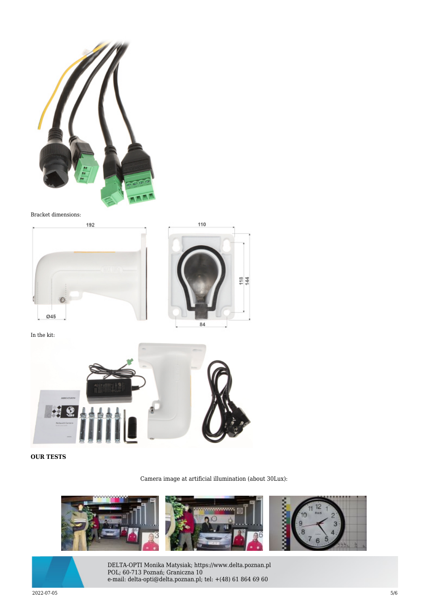

#### Bracket dimensions:





In the kit:



## **OUR TESTS**

Camera image at artificial illumination (about 30Lux):





DELTA-OPTI Monika Matysiak; https://www.delta.poznan.pl POL; 60-713 Poznań; Graniczna 10 e-mail: delta-opti@delta.poznan.pl; tel: +(48) 61 864 69 60